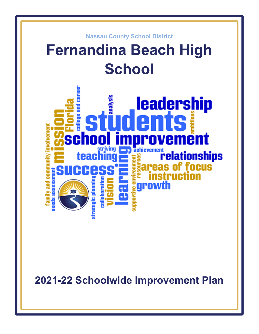

**2021-22 Schoolwide Improvement Plan**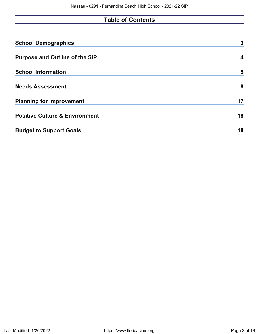# **Table of Contents**

| <b>School Demographics</b>                | 3  |
|-------------------------------------------|----|
| <b>Purpose and Outline of the SIP</b>     | 4  |
| <b>School Information</b>                 | 5  |
| <b>Needs Assessment</b>                   | 8  |
| <b>Planning for Improvement</b>           | 17 |
| <b>Positive Culture &amp; Environment</b> | 18 |
| <b>Budget to Support Goals</b>            | 18 |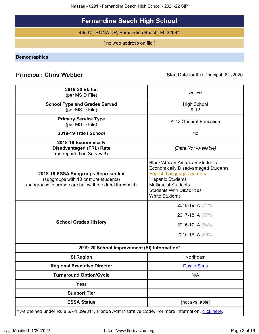Nassau - 0291 - Fernandina Beach High School - 2021-22 SIP

# **Fernandina Beach High School**

435 CITRONA DR, Fernandina Beach, FL 32034

[ no web address on file ]

<span id="page-2-0"></span>**Demographics**

# **Principal: Chris Webber Start Date for this Principal: 6/1/2020** Start Date for this Principal: 6/1/2020

| <b>2019-20 Status</b><br>(per MSID File)                                                                                            | Active                                                                                                                                                                                                                                            |
|-------------------------------------------------------------------------------------------------------------------------------------|---------------------------------------------------------------------------------------------------------------------------------------------------------------------------------------------------------------------------------------------------|
| <b>School Type and Grades Served</b><br>(per MSID File)                                                                             | <b>High School</b><br>$9 - 12$                                                                                                                                                                                                                    |
| <b>Primary Service Type</b><br>(per MSID File)                                                                                      | K-12 General Education                                                                                                                                                                                                                            |
| 2018-19 Title I School                                                                                                              | N <sub>o</sub>                                                                                                                                                                                                                                    |
| 2018-19 Economically<br><b>Disadvantaged (FRL) Rate</b><br>(as reported on Survey 3)                                                | [Data Not Available]                                                                                                                                                                                                                              |
| 2018-19 ESSA Subgroups Represented<br>(subgroups with 10 or more students)<br>(subgroups in orange are below the federal threshold) | <b>Black/African American Students</b><br><b>Economically Disadvantaged Students</b><br><b>English Language Learners</b><br><b>Hispanic Students</b><br><b>Multiracial Students</b><br><b>Students With Disabilities</b><br><b>White Students</b> |
| <b>School Grades History</b>                                                                                                        | 2018-19: A (71%)<br>2017-18: A $(67%)$<br>2016-17: A $(64\%)$<br>2015-16: A $(66\%)$                                                                                                                                                              |
| 2019-20 School Improvement (SI) Information*                                                                                        |                                                                                                                                                                                                                                                   |
| <b>SI Region</b>                                                                                                                    | <b>Northeast</b>                                                                                                                                                                                                                                  |
| <b>Regional Executive Director</b>                                                                                                  | <b>Dustin Sims</b>                                                                                                                                                                                                                                |
| <b>Turnaround Option/Cycle</b>                                                                                                      | N/A                                                                                                                                                                                                                                               |
| Year                                                                                                                                |                                                                                                                                                                                                                                                   |
| <b>Support Tier</b>                                                                                                                 |                                                                                                                                                                                                                                                   |
| <b>ESSA Status</b>                                                                                                                  | [not available]                                                                                                                                                                                                                                   |
| * As defined under Rule 6A-1.099811, Florida Administrative Code. For more information, click here.                                 |                                                                                                                                                                                                                                                   |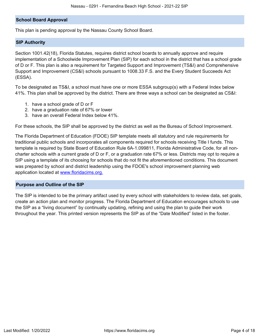## **School Board Approval**

This plan is pending approval by the Nassau County School Board.

## **SIP Authority**

Section 1001.42(18), Florida Statutes, requires district school boards to annually approve and require implementation of a Schoolwide Improvement Plan (SIP) for each school in the district that has a school grade of D or F. This plan is also a requirement for Targeted Support and Improvement (TS&I) and Comprehensive Support and Improvement (CS&I) schools pursuant to 1008.33 F.S. and the Every Student Succeeds Act (ESSA).

To be designated as TS&I, a school must have one or more ESSA subgroup(s) with a Federal Index below 41%. This plan shall be approved by the district. There are three ways a school can be designated as CS&I:

- 1. have a school grade of D or F
- 2. have a graduation rate of 67% or lower
- 3. have an overall Federal Index below 41%.

For these schools, the SIP shall be approved by the district as well as the Bureau of School Improvement.

The Florida Department of Education (FDOE) SIP template meets all statutory and rule requirements for traditional public schools and incorporates all components required for schools receiving Title I funds. This template is required by State Board of Education Rule 6A-1.099811, Florida Administrative Code, for all noncharter schools with a current grade of D or F, or a graduation rate 67% or less. Districts may opt to require a SIP using a template of its choosing for schools that do not fit the aforementioned conditions. This document was prepared by school and district leadership using the FDOE's school improvement planning web application located at [www.floridacims.org.](https://www.floridacims.org)

## <span id="page-3-0"></span>**Purpose and Outline of the SIP**

The SIP is intended to be the primary artifact used by every school with stakeholders to review data, set goals, create an action plan and monitor progress. The Florida Department of Education encourages schools to use the SIP as a "living document" by continually updating, refining and using the plan to guide their work throughout the year. This printed version represents the SIP as of the "Date Modified" listed in the footer.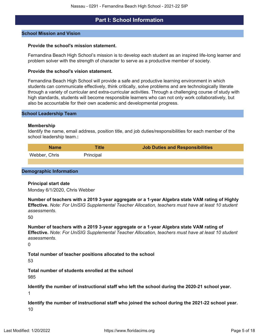## **Part I: School Information**

#### <span id="page-4-0"></span>**School Mission and Vision**

#### **Provide the school's mission statement.**

Fernandina Beach High School's mission is to develop each student as an inspired life-long learner and problem solver with the strength of character to serve as a productive member of society.

#### **Provide the school's vision statement.**

Fernandina Beach High School will provide a safe and productive learning environment in which students can communicate effectively, think critically, solve problems and are technologically literate through a variety of curricular and extra-curricular activities. Through a challenging course of study with high standards, students will become responsible learners who can not only work collaboratively, but also be accountable for their own academic and developmental progress.

#### **School Leadership Team**

#### **Membership**

Identify the name, email address, position title, and job duties/responsibilities for each member of the school leadership team.**:**

| <b>Name</b>   | <b>Title</b> | <b>Job Duties and Responsibilities</b> |
|---------------|--------------|----------------------------------------|
| Webber, Chris | Principal    |                                        |
|               |              |                                        |

#### **Demographic Information**

#### **Principal start date**

Monday 6/1/2020, Chris Webber

**Number of teachers with a 2019 3-year aggregate or a 1-year Algebra state VAM rating of Highly Effective.** *Note: For UniSIG Supplemental Teacher Allocation, teachers must have at least 10 student assessments.*

50

**Number of teachers with a 2019 3-year aggregate or a 1-year Algebra state VAM rating of Effective.** *Note: For UniSIG Supplemental Teacher Allocation, teachers must have at least 10 student assessments.*

 $\Omega$ 

## **Total number of teacher positions allocated to the school**

53

**Total number of students enrolled at the school**

985

**Identify the number of instructional staff who left the school during the 2020-21 school year.** 1

**Identify the number of instructional staff who joined the school during the 2021-22 school year.** 10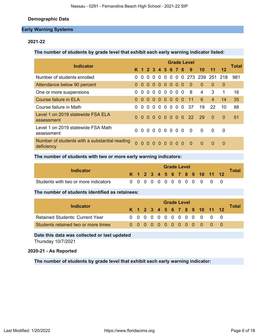## **Demographic Data**

## **Early Warning Systems**

## **2021-22**

**The number of students by grade level that exhibit each early warning indicator listed:**

| <b>Indicator</b>                                            |                |          |                   |                |                |          |                |                |                | <b>Grade Level</b> |                     |                |                | <b>Total</b> |
|-------------------------------------------------------------|----------------|----------|-------------------|----------------|----------------|----------|----------------|----------------|----------------|--------------------|---------------------|----------------|----------------|--------------|
|                                                             |                |          | K 1 2 3 4 5 6 7 8 |                |                |          |                |                |                | 9                  | 10                  | 11             | 12             |              |
| Number of students enrolled                                 |                | $\Omega$ | $\Omega$          | $\Omega$       | $\Omega$       | $\Omega$ | $\overline{0}$ |                |                |                    | 0 0 273 239 251 218 |                |                | 981          |
| Attendance below 90 percent                                 | $\Omega$       | $\Omega$ |                   |                |                | 0000000  |                |                |                | $\Omega$           | $\Omega$            | $\Omega$       | $\overline{0}$ |              |
| One or more suspensions                                     | 0              | $\Omega$ | $\Omega$          | $\overline{0}$ | $\overline{0}$ |          | 0 <sub>0</sub> | 0 <sub>0</sub> |                | 8                  | 4                   | 3              | 1              | 16           |
| Course failure in ELA                                       | $\Omega$       | $\Omega$ |                   |                |                | 0000000  |                |                |                | $-11$              | 6                   | $\overline{4}$ | 14             | 35           |
| Course failure in Math                                      | 0              | $\Omega$ | $\Omega$          | $\Omega$       | $\Omega$       |          | 0 <sub>0</sub> |                | 0 <sub>0</sub> | - 37               | 19                  | 22             | 10             | 88           |
| Level 1 on 2019 statewide FSA ELA<br>assessment             | $\Omega$       | $\Omega$ | $\Omega$          |                |                |          |                |                |                | 0 0 0 0 0 0 22     | - 29                | $\Omega$       | $\Omega$       | 51           |
| Level 1 on 2019 statewide FSA Math<br>assessment            | 0              | $\Omega$ |                   |                |                | 0000000  |                |                |                | - 0                | $\Omega$            | 0              | $\Omega$       |              |
| Number of students with a substantial reading<br>deficiency | $\overline{0}$ |          | 00000000          |                |                |          |                |                |                | $\Omega$           | $\Omega$            | $\Omega$       | $\Omega$       |              |

**The number of students with two or more early warning indicators:**

| Indicator                            |  |  |  | <b>Grade Level</b> |  |  |                              | <b>Total</b> |
|--------------------------------------|--|--|--|--------------------|--|--|------------------------------|--------------|
|                                      |  |  |  |                    |  |  | K 1 2 3 4 5 6 7 8 9 10 11 12 |              |
| Students with two or more indicators |  |  |  |                    |  |  | 0 0 0 0 0 0 0 0 0 0 0 0 0    |              |

**The number of students identified as retainees:**

| Indicator                              | <b>Grade Level</b> |  |  |  |  |  |  |  |  |  |  |                              |  |              |  |
|----------------------------------------|--------------------|--|--|--|--|--|--|--|--|--|--|------------------------------|--|--------------|--|
|                                        |                    |  |  |  |  |  |  |  |  |  |  | K 1 2 3 4 5 6 7 8 9 10 11 12 |  | <b>Total</b> |  |
| <b>Retained Students: Current Year</b> |                    |  |  |  |  |  |  |  |  |  |  | 0 0 0 0 0 0 0 0 0 0 0 0      |  |              |  |
| Students retained two or more times    |                    |  |  |  |  |  |  |  |  |  |  | 0000000000000                |  |              |  |

**Date this data was collected or last updated**

Thursday 10/7/2021

## **2020-21 - As Reported**

**The number of students by grade level that exhibit each early warning indicator:**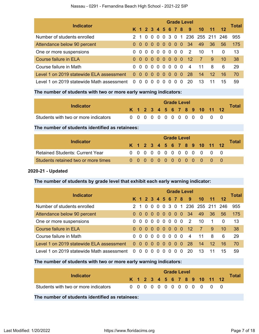|                                           | <b>Grade Level</b> |                |          |                 |                |                |                   |                |          |                |                   |                      |                 |       |  |
|-------------------------------------------|--------------------|----------------|----------|-----------------|----------------|----------------|-------------------|----------------|----------|----------------|-------------------|----------------------|-----------------|-------|--|
| <b>Indicator</b>                          |                    |                |          |                 |                |                | K 1 2 3 4 5 6 7 8 |                |          | 9              | 10                | 11                   | $12 \,$         | Total |  |
| Number of students enrolled               | 21                 |                |          | 0 <sub>0</sub>  | - 0            | $\overline{0}$ | 30                |                |          |                | 1 236 255 211 246 |                      |                 | 955   |  |
| Attendance below 90 percent               |                    |                |          | $0\,0\,0\,0\,0$ |                | 0 <sub>0</sub> |                   | 0 <sub>0</sub> |          | - 34           | 49                | 36                   | 56              | 175   |  |
| One or more suspensions                   | 0                  | $\overline{0}$ |          | 0 <sub>0</sub>  | - 0            | $\Omega$       | $\Omega$          | 0 <sub>0</sub> |          | $\overline{2}$ | 10                | $\blacktriangleleft$ | 0               | 13    |  |
| Course failure in ELA                     |                    | 0 O            |          | $00$ $00$       |                | $\blacksquare$ | 000               |                |          | 12             | <sup>7</sup>      | 9                    | 10 <sup>1</sup> | -38   |  |
| Course failure in Math                    | 0                  | - റ            |          | 0 O             | $\overline{0}$ | - 0            | $\Omega$          | 0 <sub>0</sub> |          | $\overline{4}$ | 11                | 8                    | 6               | 29    |  |
| Level 1 on 2019 statewide ELA assessment  |                    | 0 <sub>0</sub> | $\Omega$ | $\Omega$        | 0              | $\Omega$       | $\Omega$          | $\Omega$       | -0       | 28             | 14                | 12 <sup>°</sup>      | 16              | -70   |  |
| Level 1 on 2019 statewide Math assessment | $\Omega$           | $\Omega$       |          |                 |                |                | $\mathbf{U}$      | 0              | $\Omega$ | 20             | 13                |                      | 15              | 59    |  |

## **The number of students with two or more early warning indicators:**

| Indicator                            |  |  |  |  | <b>Grade Level</b> |             |                              | <b>Total</b> |
|--------------------------------------|--|--|--|--|--------------------|-------------|------------------------------|--------------|
|                                      |  |  |  |  |                    |             | K 1 2 3 4 5 6 7 8 9 10 11 12 |              |
| Students with two or more indicators |  |  |  |  |                    | 00000000000 |                              |              |

**The number of students identified as retainees:**

| Indicator                              | <b>Grade Level</b> |  |  |  |  |  |  |  |  |  |  |                              |  |       |  |
|----------------------------------------|--------------------|--|--|--|--|--|--|--|--|--|--|------------------------------|--|-------|--|
|                                        |                    |  |  |  |  |  |  |  |  |  |  | K 1 2 3 4 5 6 7 8 9 10 11 12 |  | Total |  |
| <b>Retained Students: Current Year</b> |                    |  |  |  |  |  |  |  |  |  |  | 0 0 0 0 0 0 0 0 0 0 0 0 0    |  |       |  |
| Students retained two or more times    |                    |  |  |  |  |  |  |  |  |  |  | 00000000000000               |  |       |  |

## **2020-21 - Updated**

## **The number of students by grade level that exhibit each early warning indicator:**

| <b>Indicator</b>                          |          | <b>Grade Level</b> |                |                |          |          |                   |                |     |                |                   |                 |          |       |  |  |
|-------------------------------------------|----------|--------------------|----------------|----------------|----------|----------|-------------------|----------------|-----|----------------|-------------------|-----------------|----------|-------|--|--|
|                                           |          |                    |                |                |          |          | K 1 2 3 4 5 6 7 8 |                |     | 9              | 10                |                 | 12       | Total |  |  |
| Number of students enrolled               |          |                    | 2 1 0          | $\Omega$       | $\Omega$ | $\Omega$ | 30                |                |     |                | 1 236 255 211 246 |                 |          | 955   |  |  |
| Attendance below 90 percent               |          | 0 <sub>0</sub>     | 0 <sub>0</sub> |                | $\Omega$ | -0       | -0                | $\Omega$       | - 0 | -34            | 49                | 36              | 56       | 175   |  |  |
| One or more suspensions                   | 0        | - 0                | $\Omega$       | $\Omega$       | $\Omega$ | $\Omega$ | $\Omega$          | 0 <sub>0</sub> |     | 2              | 10                | 1               | $\Omega$ | 13    |  |  |
| Course failure in ELA                     |          | 0 <sub>0</sub>     | $\Omega$       | $\Omega$       | $\Omega$ | $\Omega$ | 0                 | $\Omega$       | - 0 | 12             | 7                 | 9               | 10       | 38    |  |  |
| Course failure in Math                    |          | 0 O                |                | 0 <sub>0</sub> | $\Omega$ | $\Omega$ | - 0               | 0 <sub>0</sub> |     | $\overline{4}$ | 11                | 8               | 6        | 29    |  |  |
| Level 1 on 2019 statewide ELA assessment  | $\Omega$ | - റ                | $\Omega$       | $\Omega$       | $\Omega$ | $\Omega$ | $\Omega$          | $\Omega$       | 0   | 28             | 14                | 12 <sup>°</sup> | 16       | 70    |  |  |
| Level 1 on 2019 statewide Math assessment | $\Omega$ | 0                  |                |                |          |          |                   | $\mathbf{U}$   | 0   | 20             | 13                |                 | 15       | 59    |  |  |

## **The number of students with two or more early warning indicators:**

| <b>Indicator</b>                                |  |  |  |  | <b>Grade Level</b> |  |                              |       |
|-------------------------------------------------|--|--|--|--|--------------------|--|------------------------------|-------|
|                                                 |  |  |  |  |                    |  | K 1 2 3 4 5 6 7 8 9 10 11 12 | Total |
| Students with two or more indicators            |  |  |  |  |                    |  | 0 0 0 0 0 0 0 0 0 0 0 0 0    |       |
| The number of students identified as retainees: |  |  |  |  |                    |  |                              |       |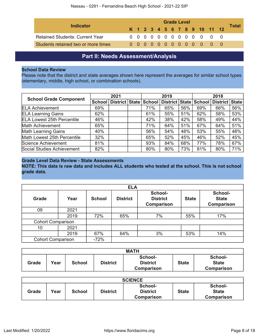|                                        |  |  |  |  | <b>Grade Level</b> |  |                              |              |
|----------------------------------------|--|--|--|--|--------------------|--|------------------------------|--------------|
| Indicator                              |  |  |  |  |                    |  | K 1 2 3 4 5 6 7 8 9 10 11 12 | <b>Total</b> |
| <b>Retained Students: Current Year</b> |  |  |  |  |                    |  | 0 0 0 0 0 0 0 0 0 0 0 0 0    |              |
| Students retained two or more times    |  |  |  |  |                    |  |                              |              |

# **Part II: Needs Assessment/Analysis**

## <span id="page-7-0"></span>**School Data Review**

Please note that the district and state averages shown here represent the averages for similar school types (elementary, middle, high school, or combination schools).

|                                   |     | 2021                      |        | 2019           |     |        | 2018                                                         |     |  |
|-----------------------------------|-----|---------------------------|--------|----------------|-----|--------|--------------------------------------------------------------|-----|--|
| <b>School Grade Component</b>     |     | School   District   State | School | District State |     | School | District   State  <br>66%<br>58%<br>49%<br>64%<br>55%<br>52% |     |  |
| <b>ELA Achievement</b>            | 69% |                           | 71%    | 65%            | 56% | 69%    |                                                              | 56% |  |
| <b>ELA Learning Gains</b>         | 62% |                           | 61%    | 55%            | 51% | 62%    |                                                              | 53% |  |
| <b>ELA Lowest 25th Percentile</b> | 46% |                           | 42%    | 38%            | 42% | 58%    |                                                              | 44% |  |
| <b>Math Achievement</b>           | 65% |                           | 71%    | 64%            | 51% | 67%    |                                                              | 51% |  |
| <b>Math Learning Gains</b>        | 40% |                           | 56%    | 54%            | 48% | 53%    |                                                              | 48% |  |
| Math Lowest 25th Percentile       | 32% |                           | 65%    | 52%            | 45% | 46%    |                                                              | 45% |  |
| Science Achievement               | 81% |                           | 93%    | 84%            | 68% | 77%    | 78%                                                          | 67% |  |
| Social Studies Achievement        | 82% |                           | 80%    | 80%            | 73% | 81%    | 80%                                                          | 71% |  |

## **Grade Level Data Review - State Assessments**

**NOTE: This data is raw data and includes ALL students who tested at the school. This is not school grade data.**

|                          | <b>ELA</b> |               |                 |                                          |              |                                              |  |  |  |  |  |
|--------------------------|------------|---------------|-----------------|------------------------------------------|--------------|----------------------------------------------|--|--|--|--|--|
| Grade                    | Year       | <b>School</b> | <b>District</b> | School-<br><b>District</b><br>Comparison | <b>State</b> | School-<br><b>State</b><br><b>Comparison</b> |  |  |  |  |  |
| 09                       | 2021       |               |                 |                                          |              |                                              |  |  |  |  |  |
|                          | 2019       | 72%           | 65%             | 7%                                       | 55%          | 17%                                          |  |  |  |  |  |
| <b>Cohort Comparison</b> |            |               |                 |                                          |              |                                              |  |  |  |  |  |
| 10                       | 2021       |               |                 |                                          |              |                                              |  |  |  |  |  |
|                          | 2019       | 67%           | 64%             | 3%                                       | 53%          | 14%                                          |  |  |  |  |  |
| <b>Cohort Comparison</b> |            | $-72%$        |                 |                                          |              |                                              |  |  |  |  |  |

| <b>MATH</b> |      |               |          |                                          |              |                                       |  |  |
|-------------|------|---------------|----------|------------------------------------------|--------------|---------------------------------------|--|--|
| Grade       | Vear | <b>School</b> | District | School-<br><b>District</b><br>Comparison | <b>State</b> | School-<br><b>State</b><br>Comparison |  |  |

| <b>SCIENCE</b> |      |               |                 |                                                 |              |                                       |  |  |
|----------------|------|---------------|-----------------|-------------------------------------------------|--------------|---------------------------------------|--|--|
| Grade          | Year | <b>School</b> | <b>District</b> | School-<br><b>District</b><br><b>Comparison</b> | <b>State</b> | School-<br><b>State</b><br>Comparison |  |  |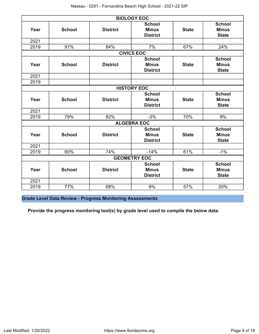| <b>BIOLOGY EOC</b> |               |                 |                                                  |              |                                               |  |  |  |  |  |
|--------------------|---------------|-----------------|--------------------------------------------------|--------------|-----------------------------------------------|--|--|--|--|--|
| Year               | <b>School</b> | <b>District</b> | <b>School</b><br><b>Minus</b><br><b>District</b> | <b>State</b> | <b>School</b><br><b>Minus</b><br><b>State</b> |  |  |  |  |  |
| 2021               |               |                 |                                                  |              |                                               |  |  |  |  |  |
| 2019               | 91%           | 84%             | 7%                                               | 67%          | 24%                                           |  |  |  |  |  |
| <b>CIVICS EOC</b>  |               |                 |                                                  |              |                                               |  |  |  |  |  |
| Year               | <b>School</b> | <b>District</b> | <b>School</b><br><b>Minus</b><br><b>District</b> | <b>State</b> | <b>School</b><br><b>Minus</b><br><b>State</b> |  |  |  |  |  |
| 2021               |               |                 |                                                  |              |                                               |  |  |  |  |  |
| 2019               |               |                 |                                                  |              |                                               |  |  |  |  |  |
| <b>HISTORY EOC</b> |               |                 |                                                  |              |                                               |  |  |  |  |  |
| Year               | <b>School</b> | <b>District</b> | <b>School</b><br><b>Minus</b><br><b>District</b> | <b>State</b> | <b>School</b><br><b>Minus</b><br><b>State</b> |  |  |  |  |  |
| 2021               |               |                 |                                                  |              |                                               |  |  |  |  |  |
| 2019               | 79%           | 82%             | $-3%$                                            | 70%          | 9%                                            |  |  |  |  |  |
|                    |               |                 | <b>ALGEBRA EOC</b>                               |              |                                               |  |  |  |  |  |
| Year               | <b>School</b> | <b>District</b> | <b>School</b><br><b>Minus</b><br><b>District</b> | <b>State</b> | <b>School</b><br><b>Minus</b><br><b>State</b> |  |  |  |  |  |
| 2021               |               |                 |                                                  |              |                                               |  |  |  |  |  |
| 2019               | 60%           | 74%             | $-14%$                                           | 61%          | $-1%$                                         |  |  |  |  |  |
|                    |               |                 | <b>GEOMETRY EOC</b>                              |              |                                               |  |  |  |  |  |
| Year               | <b>School</b> | <b>District</b> | <b>School</b><br><b>Minus</b><br><b>District</b> | <b>State</b> | <b>School</b><br><b>Minus</b><br><b>State</b> |  |  |  |  |  |
| 2021               |               |                 |                                                  |              |                                               |  |  |  |  |  |
| 2019               | 77%           | 68%             | 9%                                               | 57%          | 20%                                           |  |  |  |  |  |

**Grade Level Data Review - Progress Monitoring Assessments**

**Provide the progress monitoring tool(s) by grade level used to compile the below data.**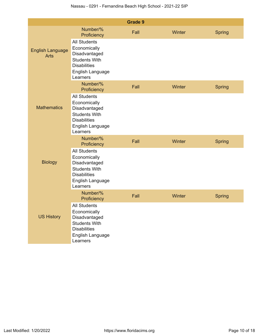|                                        |                                                                                                                                     | <b>Grade 9</b> |        |               |
|----------------------------------------|-------------------------------------------------------------------------------------------------------------------------------------|----------------|--------|---------------|
|                                        | Number/%<br>Proficiency                                                                                                             | Fall           | Winter | <b>Spring</b> |
| <b>English Language</b><br><b>Arts</b> | <b>All Students</b><br>Economically<br>Disadvantaged<br><b>Students With</b><br><b>Disabilities</b><br>English Language<br>Learners |                |        |               |
| <b>Mathematics</b>                     | Number/%<br>Proficiency                                                                                                             | Fall           | Winter | <b>Spring</b> |
|                                        | <b>All Students</b><br>Economically<br>Disadvantaged<br><b>Students With</b><br><b>Disabilities</b><br>English Language<br>Learners |                |        |               |
|                                        | Number/%<br>Proficiency                                                                                                             | Fall           | Winter | Spring        |
| <b>Biology</b>                         | <b>All Students</b><br>Economically<br>Disadvantaged<br><b>Students With</b><br><b>Disabilities</b><br>English Language<br>Learners |                |        |               |
|                                        | Number/%<br>Proficiency                                                                                                             | Fall           | Winter | Spring        |
| <b>US History</b>                      | <b>All Students</b><br>Economically<br>Disadvantaged<br><b>Students With</b><br><b>Disabilities</b><br>English Language<br>Learners |                |        |               |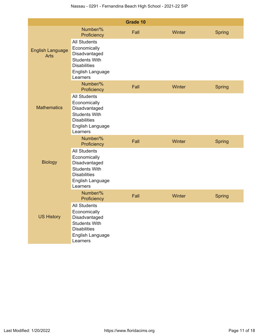| Grade 10                               |                                                                                                                                     |      |        |               |  |  |  |  |  |
|----------------------------------------|-------------------------------------------------------------------------------------------------------------------------------------|------|--------|---------------|--|--|--|--|--|
|                                        | Number/%<br>Proficiency                                                                                                             | Fall | Winter | Spring        |  |  |  |  |  |
| <b>English Language</b><br><b>Arts</b> | <b>All Students</b><br>Economically<br>Disadvantaged<br><b>Students With</b><br><b>Disabilities</b><br>English Language<br>Learners |      |        |               |  |  |  |  |  |
|                                        | Number/%<br>Proficiency                                                                                                             | Fall | Winter | <b>Spring</b> |  |  |  |  |  |
| <b>Mathematics</b>                     | <b>All Students</b><br>Economically<br>Disadvantaged<br><b>Students With</b><br><b>Disabilities</b><br>English Language<br>Learners |      |        |               |  |  |  |  |  |
|                                        | Number/%<br>Proficiency                                                                                                             | Fall | Winter | Spring        |  |  |  |  |  |
| <b>Biology</b>                         | <b>All Students</b><br>Economically<br>Disadvantaged<br><b>Students With</b><br><b>Disabilities</b><br>English Language<br>Learners |      |        |               |  |  |  |  |  |
|                                        | Number/%<br>Proficiency                                                                                                             | Fall | Winter | Spring        |  |  |  |  |  |
| <b>US History</b>                      | <b>All Students</b><br>Economically<br>Disadvantaged<br><b>Students With</b><br><b>Disabilities</b><br>English Language<br>Learners |      |        |               |  |  |  |  |  |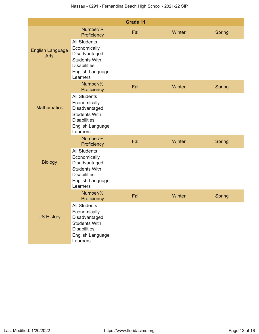| Grade 11                               |                                                                                                                                     |      |        |               |  |  |  |  |  |
|----------------------------------------|-------------------------------------------------------------------------------------------------------------------------------------|------|--------|---------------|--|--|--|--|--|
|                                        | Number/%<br>Proficiency                                                                                                             | Fall | Winter | Spring        |  |  |  |  |  |
| <b>English Language</b><br><b>Arts</b> | <b>All Students</b><br>Economically<br>Disadvantaged<br><b>Students With</b><br><b>Disabilities</b><br>English Language<br>Learners |      |        |               |  |  |  |  |  |
| <b>Mathematics</b>                     | Number/%<br>Proficiency                                                                                                             | Fall | Winter | <b>Spring</b> |  |  |  |  |  |
|                                        | <b>All Students</b><br>Economically<br>Disadvantaged<br><b>Students With</b><br><b>Disabilities</b><br>English Language<br>Learners |      |        |               |  |  |  |  |  |
|                                        | Number/%<br>Proficiency                                                                                                             | Fall | Winter | Spring        |  |  |  |  |  |
| <b>Biology</b>                         | <b>All Students</b><br>Economically<br>Disadvantaged<br><b>Students With</b><br><b>Disabilities</b><br>English Language<br>Learners |      |        |               |  |  |  |  |  |
|                                        | Number/%<br>Proficiency                                                                                                             | Fall | Winter | Spring        |  |  |  |  |  |
| <b>US History</b>                      | <b>All Students</b><br>Economically<br>Disadvantaged<br><b>Students With</b><br><b>Disabilities</b><br>English Language<br>Learners |      |        |               |  |  |  |  |  |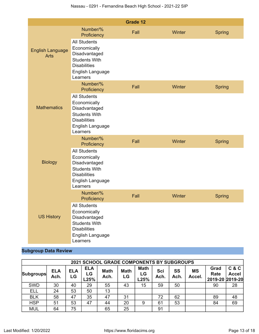|                                        |                                                                                                                                     | Grade 12 |        |               |
|----------------------------------------|-------------------------------------------------------------------------------------------------------------------------------------|----------|--------|---------------|
|                                        | Number/%<br>Proficiency                                                                                                             | Fall     | Winter | <b>Spring</b> |
| <b>English Language</b><br><b>Arts</b> | <b>All Students</b><br>Economically<br>Disadvantaged<br><b>Students With</b><br><b>Disabilities</b><br>English Language<br>Learners |          |        |               |
|                                        | Number/%<br>Proficiency                                                                                                             | Fall     | Winter | <b>Spring</b> |
| <b>Mathematics</b>                     | <b>All Students</b><br>Economically<br>Disadvantaged<br><b>Students With</b><br><b>Disabilities</b><br>English Language<br>Learners |          |        |               |
|                                        | Number/%<br>Proficiency                                                                                                             | Fall     | Winter | <b>Spring</b> |
| <b>Biology</b>                         | <b>All Students</b><br>Economically<br>Disadvantaged<br><b>Students With</b><br><b>Disabilities</b><br>English Language<br>Learners |          |        |               |
|                                        | Number/%<br>Proficiency                                                                                                             | Fall     | Winter | <b>Spring</b> |
| <b>US History</b>                      | <b>All Students</b><br>Economically<br>Disadvantaged<br><b>Students With</b><br><b>Disabilities</b><br>English Language<br>Learners |          |        |               |

## **Subgroup Data Review**

|                  | <b>2021 SCHOOL GRADE COMPONENTS BY SUBGROUPS</b> |                  |                          |                     |                   |                           |             |           |                     |                                 |                       |
|------------------|--------------------------------------------------|------------------|--------------------------|---------------------|-------------------|---------------------------|-------------|-----------|---------------------|---------------------------------|-----------------------|
| <b>Subgroups</b> | <b>ELA</b><br>Ach.                               | <b>ELA</b><br>LG | <b>ELA</b><br>LG<br>L25% | <b>Math</b><br>Ach. | <b>Math</b><br>LG | <b>Math</b><br>LG<br>L25% | Sci<br>Ach. | SS<br>Ach | <b>MS</b><br>Accel. | Grad<br>Rate<br>2019-20 2019-20 | C & C<br><b>Accel</b> |
| <b>SWD</b>       | 30                                               | 40               | 29                       | 55                  | 43                | 15                        | 59          | 50        |                     | 90                              | 28                    |
| <b>ELL</b>       | 24                                               | 53               | 50                       | 13                  |                   |                           |             |           |                     |                                 |                       |
| <b>BLK</b>       | 58                                               | 47               | 35                       | 47                  | 31                |                           | 72          | 62        |                     | 89                              | 48                    |
| <b>HSP</b>       | 51                                               | 53               | 47                       | 44                  | 20                | 9                         | 61          | 53        |                     | 84                              | 69                    |
| <b>MUL</b>       | 64                                               | 75               |                          | 65                  | 25                |                           | 91          |           |                     |                                 |                       |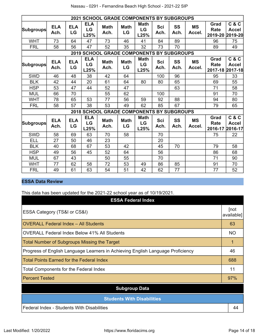|                  | <b>2021 SCHOOL GRADE COMPONENTS BY SUBGROUPS</b> |                  |                          |                                                  |                   |                                      |                    |                   |                     |                                 |                                  |
|------------------|--------------------------------------------------|------------------|--------------------------|--------------------------------------------------|-------------------|--------------------------------------|--------------------|-------------------|---------------------|---------------------------------|----------------------------------|
| <b>Subgroups</b> | <b>ELA</b><br>Ach.                               | <b>ELA</b><br>LG | <b>ELA</b><br>LG<br>L25% | <b>Math</b><br>Ach.                              | <b>Math</b><br>LG | <b>Math</b><br>LG<br>L25%            | <b>Sci</b><br>Ach. | <b>SS</b><br>Ach. | <b>MS</b><br>Accel. | Grad<br><b>Rate</b><br>2019-20  | C & C<br><b>Accel</b><br>2019-20 |
| <b>WHT</b>       | 73                                               | 64               | 47                       | 73                                               | 46                | 41                                   | 84                 | 89                |                     | 96                              | 75                               |
| <b>FRL</b>       | 58                                               | 56               | 47                       | 52                                               | 35                | 32                                   | 73                 | 70                |                     | 89                              | 49                               |
|                  |                                                  |                  |                          | <b>2019 SCHOOL GRADE COMPONENTS BY SUBGROUPS</b> |                   |                                      |                    |                   |                     |                                 |                                  |
| <b>Subgroups</b> | <b>ELA</b><br>Ach.                               | <b>ELA</b><br>LG | <b>ELA</b><br>LG<br>L25% | <b>Math</b><br>Ach.                              | <b>Math</b><br>LG | <b>Math</b><br>LG<br>L25%            | <b>Sci</b><br>Ach. | <b>SS</b><br>Ach. | <b>MS</b><br>Accel. | Grad<br>Rate<br>2017-18 2017-18 | C & C<br><b>Accel</b>            |
| <b>SWD</b>       | 46                                               | 48               | 38                       | 42                                               | 64                |                                      | 100                | 96                |                     | 95                              | 33                               |
| <b>BLK</b>       | 42                                               | 44               | 20                       | 61                                               | 64                | 80                                   | 80                 | 65                |                     | 69                              | 55                               |
| <b>HSP</b>       | 53                                               | 47               | 44                       | 52                                               | 47                |                                      |                    | 63                |                     | 71                              | 58                               |
| <b>MUL</b>       | 66                                               | 70               |                          | 55                                               | 62                |                                      | 100                |                   |                     | 91                              | 70                               |
| <b>WHT</b>       | 78                                               | 65               | 53                       | 77                                               | 56                | 59                                   | 92                 | 88                |                     | 94                              | 80                               |
| <b>FRL</b>       | 58                                               | 57               | 38                       | 53                                               | 49                | 62                                   | 85                 | 67                |                     | 79                              | 65                               |
|                  |                                                  |                  | 2018 SCHOOL              |                                                  |                   | <b>GRADE COMPONENTS BY SUBGROUPS</b> |                    |                   |                     |                                 |                                  |
| <b>Subgroups</b> | <b>ELA</b><br>Ach.                               | <b>ELA</b><br>LG | <b>ELA</b><br>LG<br>L25% | <b>Math</b><br>Ach.                              | <b>Math</b><br>LG | <b>Math</b><br>LG<br>L25%            | <b>Sci</b><br>Ach. | <b>SS</b><br>Ach. | <b>MS</b><br>Accel. | Grad<br><b>Rate</b><br>2016-17  | C & C<br><b>Accel</b><br>2016-17 |
| <b>SWD</b>       | 58                                               | 69               | 63                       | 70                                               | 58                |                                      | 70                 |                   |                     | 75                              | 22                               |
| ELL              | 27                                               | 50               | 46                       | 23                                               |                   |                                      | 20                 |                   |                     |                                 |                                  |
| <b>BLK</b>       | 40                                               | 68               | 67                       | 53                                               | 42                |                                      | 45                 | 70                |                     | 79                              | 58                               |
| <b>HSP</b>       | 49                                               | 56               | 45                       | 52                                               | 64                |                                      | 56                 |                   |                     | 86                              | 68                               |
| <b>MUL</b>       | 67                                               | 43               |                          | 50                                               | 55                |                                      | 70                 |                   |                     | 71                              | 90                               |
| <b>WHT</b>       | 77                                               | 62               | 58                       | 72                                               | 53                | 49                                   | 86                 | 85                |                     | 91                              | 70                               |
| <b>FRL</b>       | 49                                               | 61               | 63                       | 54                                               | 51                | 42                                   | 62                 | 77                |                     | 77                              | 52                               |

## **ESSA Data Review**

This data has been updated for the 2021-22 school year as of 10/19/2021.

| <b>ESSA Federal Index</b>                                                       |                    |  |  |  |  |  |  |
|---------------------------------------------------------------------------------|--------------------|--|--|--|--|--|--|
| ESSA Category (TS&I or CS&I)                                                    | [not<br>available] |  |  |  |  |  |  |
| <b>OVERALL Federal Index - All Students</b>                                     | 63                 |  |  |  |  |  |  |
| <b>OVERALL Federal Index Below 41% All Students</b>                             | <b>NO</b>          |  |  |  |  |  |  |
| <b>Total Number of Subgroups Missing the Target</b>                             | 1                  |  |  |  |  |  |  |
| Progress of English Language Learners in Achieving English Language Proficiency |                    |  |  |  |  |  |  |
| <b>Total Points Earned for the Federal Index</b>                                | 688                |  |  |  |  |  |  |
| Total Components for the Federal Index                                          | 11                 |  |  |  |  |  |  |
| <b>Percent Tested</b>                                                           | 97%                |  |  |  |  |  |  |
| <b>Subgroup Data</b>                                                            |                    |  |  |  |  |  |  |
| <b>Students With Disabilities</b>                                               |                    |  |  |  |  |  |  |
| Federal Index - Students With Disabilities                                      | 44                 |  |  |  |  |  |  |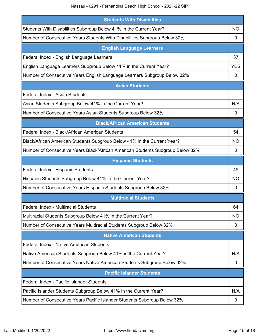Nassau - 0291 - Fernandina Beach High School - 2021-22 SIP

| <b>Students With Disabilities</b>                                              |           |  |  |  |
|--------------------------------------------------------------------------------|-----------|--|--|--|
| Students With Disabilities Subgroup Below 41% in the Current Year?             | NO        |  |  |  |
| Number of Consecutive Years Students With Disabilities Subgroup Below 32%      | 0         |  |  |  |
| <b>English Language Learners</b>                                               |           |  |  |  |
| Federal Index - English Language Learners                                      | 37        |  |  |  |
| English Language Learners Subgroup Below 41% in the Current Year?              |           |  |  |  |
| Number of Consecutive Years English Language Learners Subgroup Below 32%       | 0         |  |  |  |
| <b>Asian Students</b>                                                          |           |  |  |  |
| Federal Index - Asian Students                                                 |           |  |  |  |
| Asian Students Subgroup Below 41% in the Current Year?                         | N/A       |  |  |  |
| Number of Consecutive Years Asian Students Subgroup Below 32%                  | 0         |  |  |  |
| <b>Black/African American Students</b>                                         |           |  |  |  |
| Federal Index - Black/African American Students                                | 54        |  |  |  |
| Black/African American Students Subgroup Below 41% in the Current Year?        | NO        |  |  |  |
| Number of Consecutive Years Black/African American Students Subgroup Below 32% | 0         |  |  |  |
| <b>Hispanic Students</b>                                                       |           |  |  |  |
| Federal Index - Hispanic Students                                              | 49        |  |  |  |
| Hispanic Students Subgroup Below 41% in the Current Year?                      | NO        |  |  |  |
| Number of Consecutive Years Hispanic Students Subgroup Below 32%               | 0         |  |  |  |
| <b>Multiracial Students</b>                                                    |           |  |  |  |
| Federal Index - Multiracial Students                                           | 64        |  |  |  |
| Multiracial Students Subgroup Below 41% in the Current Year?                   | <b>NO</b> |  |  |  |
| Number of Consecutive Years Multiracial Students Subgroup Below 32%            | 0         |  |  |  |
| <b>Native American Students</b>                                                |           |  |  |  |
| Federal Index - Native American Students                                       |           |  |  |  |
| Native American Students Subgroup Below 41% in the Current Year?               | N/A       |  |  |  |
| Number of Consecutive Years Native American Students Subgroup Below 32%        | 0         |  |  |  |
| <b>Pacific Islander Students</b>                                               |           |  |  |  |
| Federal Index - Pacific Islander Students                                      |           |  |  |  |
| Pacific Islander Students Subgroup Below 41% in the Current Year?              |           |  |  |  |
| Number of Consecutive Years Pacific Islander Students Subgroup Below 32%       |           |  |  |  |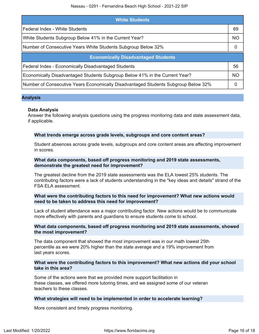| <b>White Students</b>                                                              |           |  |
|------------------------------------------------------------------------------------|-----------|--|
| Federal Index - White Students                                                     | 69        |  |
| White Students Subgroup Below 41% in the Current Year?                             | <b>NO</b> |  |
| Number of Consecutive Years White Students Subgroup Below 32%                      | 0         |  |
| <b>Economically Disadvantaged Students</b>                                         |           |  |
| Federal Index - Economically Disadvantaged Students                                | 56        |  |
| Economically Disadvantaged Students Subgroup Below 41% in the Current Year?        |           |  |
| Number of Consecutive Years Economically Disadvantaged Students Subgroup Below 32% |           |  |

## **Analysis**

## **Data Analysis**

Answer the following analysis questions using the progress monitoring data and state assessment data, if applicable.

## **What trends emerge across grade levels, subgroups and core content areas?**

Student absences across grade levels, subgroups and core content areas are affecting improvement in scores.

## **What data components, based off progress monitoring and 2019 state assessments, demonstrate the greatest need for improvement?**

The greatest decline from the 2019 state assessments was the ELA lowest 25% students. The contributing factors were a lack of students understanding in the "key ideas and details" strand of the FSA ELA assessment.

## **What were the contributing factors to this need for improvement? What new actions would need to be taken to address this need for improvement?**

Lack of student attendance was a major contributing factor. New actions would be to communicate more effectively with parents and guardians to ensure students come to school.

## **What data components, based off progress monitoring and 2019 state assessments, showed the most improvement?**

The data component that showed the most improvement was in our math lowest 25th percentile as we were 20% higher than the state average and a 19% improvement from last years scores.

## **What were the contributing factors to this improvement? What new actions did your school take in this area?**

Some of the actions were that we provided more support facilitation in these classes, we offered more tutoring times, and we assigned some of our veteran teachers to these classes.

## **What strategies will need to be implemented in order to accelerate learning?**

More consistent and timely progress monitoring.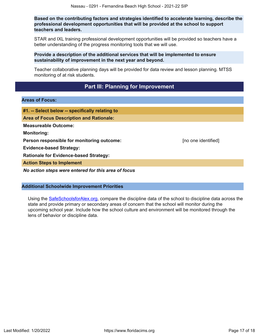**Based on the contributing factors and strategies identified to accelerate learning, describe the professional development opportunities that will be provided at the school to support teachers and leaders.**

STAR and IXL training professional development opportunities will be provided so teachers have a better understanding of the progress monitoring tools that we will use.

**Provide a description of the additional services that will be implemented to ensure sustainability of improvement in the next year and beyond.**

Teacher collaborative planning days will be provided for data review and lesson planning. MTSS monitoring of at risk students.

# **Part III: Planning for Improvement**

#### <span id="page-16-0"></span>**Areas of Focus:**

| #1. -- Select below -- specifically relating to     |                     |
|-----------------------------------------------------|---------------------|
| <b>Area of Focus Description and Rationale:</b>     |                     |
| <b>Measureable Outcome:</b>                         |                     |
| <b>Monitoring:</b>                                  |                     |
| Person responsible for monitoring outcome:          | [no one identified] |
| <b>Evidence-based Strategy:</b>                     |                     |
| <b>Rationale for Evidence-based Strategy:</b>       |                     |
| <b>Action Steps to Implement</b>                    |                     |
| No action steps were entered for this area of focus |                     |

## **Additional Schoolwide Improvement Priorities**

Using the **[SafeSchoolsforAlex.org](https://www.safeschoolsforalex.org/fl-school-safety-dashboard/)**, compare the discipline data of the school to discipline data across the state and provide primary or secondary areas of concern that the school will monitor during the upcoming school year. Include how the school culture and environment will be monitored through the lens of behavior or discipline data.